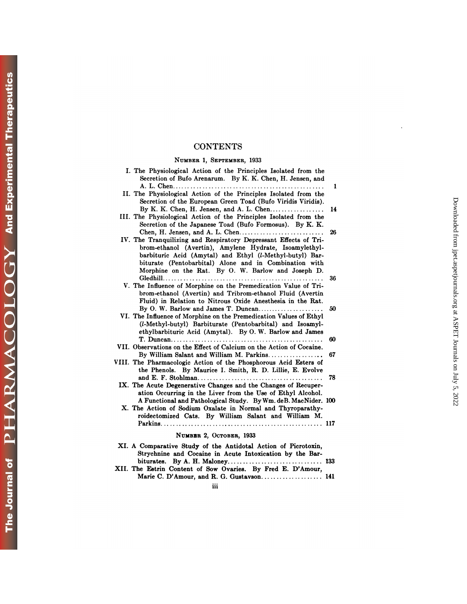## **CONTENTS**

### **NUMBER 1, SEPTEMBER,** 1933

| <b>CONTENTS</b>                                                                                                                                                                                                                                                                                        |                                                                                |
|--------------------------------------------------------------------------------------------------------------------------------------------------------------------------------------------------------------------------------------------------------------------------------------------------------|--------------------------------------------------------------------------------|
| NUMBER 1, SEPTEMBER, 1933                                                                                                                                                                                                                                                                              |                                                                                |
| I. The Physiological Action of the Principles Isolated from the<br>Secretion of Bufo Arenarum. By K. K. Chen, H. Jensen, and                                                                                                                                                                           |                                                                                |
| II. The Physiological Action of the Principles Isolated from the<br>Secretion of the European Green Toad (Bufo Viridis Viridis).                                                                                                                                                                       | 1                                                                              |
| III. The Physiological Action of the Principles Isolated from the<br>Secretion of the Japanese Toad (Bufo Formosus). By K. K.                                                                                                                                                                          | 14                                                                             |
| IV. The Tranquilizing and Respiratory Depressant Effects of Tri-<br>brom-ethanol (Avertin), Amylene Hydrate, Isoamylethyl-<br>barbituric Acid (Amytal) and Ethyl (l-Methyl-butyl) Bar-<br>biturate (Pentobarbital) Alone and in Combination with<br>Morphine on the Rat. By O. W. Barlow and Joseph D. | Downloaded from jpet.aspetjournals.org at ASPET Journals on July 5, 2022<br>26 |
|                                                                                                                                                                                                                                                                                                        | 36                                                                             |
| V. The Influence of Morphine on the Premedication Value of Tri-<br>brom-ethanol (Avertin) and Tribrom-ethanol Fluid (Avertin<br>Fluid) in Relation to Nitrous Oxide Anesthesia in the Rat.                                                                                                             |                                                                                |
| By O. W. Barlow and James T. Duncan<br>VI. The Influence of Morphine on the Premedication Values of Ethyl<br>(l-Methyl-butyl) Barbiturate (Pentobarbital) and Isoamyl-<br>ethylbarbituric Acid (Amytal). By O.W. Barlow and James                                                                      | 50                                                                             |
|                                                                                                                                                                                                                                                                                                        | 60                                                                             |
| VII. Observations on the Effect of Calcium on the Action of Cocaine.                                                                                                                                                                                                                                   |                                                                                |
| By William Salant and William M. Parkins<br>VIII. The Pharmacologic Action of the Phosphorous Acid Esters of<br>the Phenols. By Maurice I. Smith, R. D. Lillie, E. Evolve                                                                                                                              | 67                                                                             |
| IX. The Acute Degenerative Changes and the Changes of Recuper-<br>ation Occurring in the Liver from the Use of Ethyl Alcohol.                                                                                                                                                                          | 78                                                                             |
| A Functional and Pathological Study. By Wm. deB. MacNider. 100<br>X. The Action of Sodium Oxalate in Normal and Thyroparathy-<br>roidectomized Cats. By William Salant and William M.                                                                                                                  |                                                                                |
| NUMBER 2, OCTOBER, 1933                                                                                                                                                                                                                                                                                |                                                                                |
| XI. A Comparative Study of the Antidotal Action of Picrotoxin,<br>Strychnine and Cocaine in Acute Intoxication by the Bar-                                                                                                                                                                             |                                                                                |
| XII. The Estrin Content of Sow Ovaries. By Fred E. D'Amour,<br>Marie C. D'Amour, and R. G. Gustavson 141                                                                                                                                                                                               |                                                                                |
| iii                                                                                                                                                                                                                                                                                                    |                                                                                |

| INUMBER Z. OCTOBER, 1955                                       |  |
|----------------------------------------------------------------|--|
| XI. A Comparative Study of the Antidotal Action of Picrotoxin, |  |
| Strychnine and Cocaine in Acute Intoxication by the Bar-       |  |
|                                                                |  |
| XII. The Estrin Content of Sow Ovaries. By Fred E. D'Amour,    |  |
| Marie C. D'Amour, and R. G. Gustavson 141                      |  |
| m                                                              |  |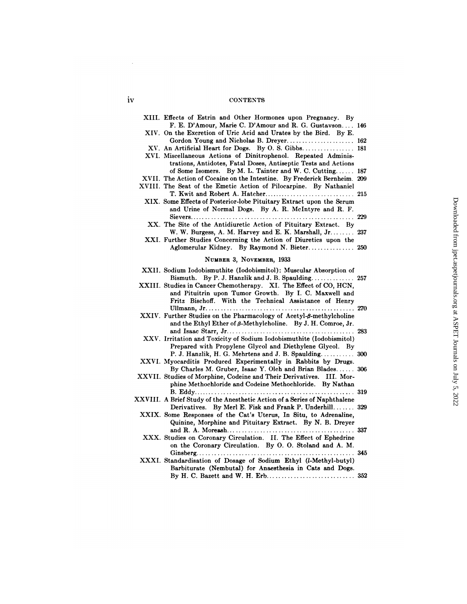## iv CONTENTS

| <b>CONTENTS</b>                                                                                                                                                                             |  |
|---------------------------------------------------------------------------------------------------------------------------------------------------------------------------------------------|--|
|                                                                                                                                                                                             |  |
| XIII. Effects of Estrin and Other Hormones upon Pregnancy. By<br>F. E. D'Amour, Marie C. D'Amour and R. G. Gustavson 146                                                                    |  |
| XIV. On the Excretion of Uric Acid and Urates by the Bird. By E.<br>Gordon Young and Nicholas B. Dreyer 162                                                                                 |  |
| XV. An Artificial Heart for Dogs. By O. S. Gibbs 181                                                                                                                                        |  |
| XVI. Miscellaneous Actions of Dinitrophenol. Repeated Adminis-<br>trations, Antidotes, Fatal Doses, Antiseptic Tests and Actions<br>of Some Isomers. By M. L. Tainter and W. C. Cutting 187 |  |
| XVII. The Action of Cocaine on the Intestine. By Frederick Bernheim. 209                                                                                                                    |  |
| XVIII. The Seat of the Emetic Action of Pilocarpine. By Nathaniel                                                                                                                           |  |
| XIX. Some Effects of Posterior-lobe Pituitary Extract upon the Serum<br>and Urine of Normal Dogs. By A. R. McIntyre and R. F.                                                               |  |
| XX. The Site of the Antidiuretic Action of Pituitary Extract. By                                                                                                                            |  |
| W. W. Burgess, A. M. Harvey and E. K. Marshall, Jr.  237                                                                                                                                    |  |
| XXI. Further Studies Concerning the Action of Diuretics upon the<br>Aglomerular Kidney. By Raymond N. Bieter 250                                                                            |  |
| NUMBER 3, NOVEMBER, 1933                                                                                                                                                                    |  |
| XXII. Sodium Iodobismuthite (Iodobismitol): Muscular Absorption of                                                                                                                          |  |
| Bismuth. By P. J. Hanzlik and J. B. Spaulding 257<br>XXIII. Studies in Cancer Chemotherapy. XI. The Effect of CO, HCN,<br>and Pituitrin upon Tumor Growth. By I. C. Maxwell and             |  |
| Fritz Bischoff. With the Technical Assistance of Henry                                                                                                                                      |  |
| XXIV. Further Studies on the Pharmacology of Acetyl- $\beta$ -methylcholine<br>and the Ethyl Ether of $\beta$ -Methylcholine. By J. H. Comroe, Jr.                                          |  |
| XXV. Irritation and Toxicity of Sodium Iodobismuthite (Iodobismitol)<br>Prepared with Propylene Glycol and Diethylene Glycol. By                                                            |  |
| P. J. Hanzlik, H. G. Mehrtens and J. B. Spaulding 300<br>XXVI. Myocarditis Produced Experimentally in Rabbits by Drugs.                                                                     |  |
| By Charles M. Gruber, Isaac Y. Olch and Brian Blades 306<br>XXVII. Studies of Morphine, Codeine and Their Derivatives. III. Mor-                                                            |  |
| phine Methochloride and Codeine Methochloride. By Nathan                                                                                                                                    |  |
| XXVIII. A Brief Study of the Anesthetic Action of a Series of Naphthalene                                                                                                                   |  |
| Derivatives. By Merl E. Fisk and Frank P. Underhill 329                                                                                                                                     |  |
| XXIX. Some Responses of the Cat's Uterus, In Situ, to Adrenaline,<br>Quinine, Morphine and Pituitary Extract. By N. B. Dreyer                                                               |  |
| XXX. Studies on Coronary Circulation. II. The Effect of Ephedrine<br>on the Coronary Circulation. By O. O. Stoland and A. M.                                                                |  |
|                                                                                                                                                                                             |  |
| XXXI. Standardisation of Dosage of Sodium Ethyl (l-Methyl-butyl)<br>Barbiturate (Nembutal) for Anaesthesia in Cats and Dogs.                                                                |  |
|                                                                                                                                                                                             |  |

 $\sim$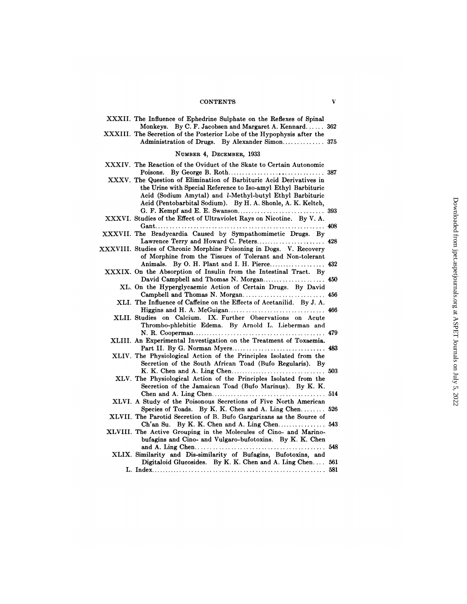### CONTENTS V

| <b>CONTENTS</b>                                                                                                                                                                                                                                                         | V |
|-------------------------------------------------------------------------------------------------------------------------------------------------------------------------------------------------------------------------------------------------------------------------|---|
| XXXII. The Influence of Ephedrine Sulphate on the Reflexes of Spinal<br>Monkeys. By C. F. Jacobsen and Margaret A. Kennard 362                                                                                                                                          |   |
| XXXIII. The Secretion of the Posterior Lobe of the Hypophysis after the<br>Administration of Drugs. By Alexander Simon 375                                                                                                                                              |   |
| NUMBER 4, DECEMBER, 1933                                                                                                                                                                                                                                                |   |
| XXXIV. The Reaction of the Oviduct of the Skate to Certain Autonomic                                                                                                                                                                                                    |   |
|                                                                                                                                                                                                                                                                         |   |
| XXXV. The Question of Elimination of Barbituric Acid Derivatives in<br>the Urine with Special Reference to Iso-amyl Ethyl Barbituric<br>Acid (Sodium Amytal) and <i>l</i> -Methyl-butyl Ethyl Barbituric<br>Acid (Pentobarbital Sodium). By H. A. Shonle, A. K. Keltch, |   |
| XXXVI. Studies of the Effect of Ultraviolet Rays on Nicotine. By V. A.                                                                                                                                                                                                  |   |
| XXXVII. The Bradycardia Caused by Sympathomimetic Drugs. By                                                                                                                                                                                                             |   |
| Lawrence Terry and Howard C. Peters 428                                                                                                                                                                                                                                 |   |
| XXXVIII. Studies of Chronic Morphine Poisoning in Dogs. V. Recovery<br>of Morphine from the Tissues of Tolerant and Non-tolerant                                                                                                                                        |   |
| Animals. By O. H. Plant and I. H. Pierce 432<br>XXXIX. On the Absorption of Insulin from the Intestinal Tract. By                                                                                                                                                       |   |
| David Campbell and Thomas N. Morgan 450                                                                                                                                                                                                                                 |   |
| XL. On the Hyperglycaemic Action of Certain Drugs. By David                                                                                                                                                                                                             |   |
| Campbell and Thomas N. Morgan 456<br>XLI. The Influence of Caffeine on the Effects of Acetanilid. By J. A.                                                                                                                                                              |   |
|                                                                                                                                                                                                                                                                         |   |
| XLII. Studies on Calcium. IX. Further Observations on Acute<br>Thrombo-phlebitic Edema. By Arnold L. Lieberman and                                                                                                                                                      |   |
|                                                                                                                                                                                                                                                                         |   |
| XLIII. An Experimental Investigation on the Treatment of Toxaemia.                                                                                                                                                                                                      |   |
| XLIV. The Physiological Action of the Principles Isolated from the                                                                                                                                                                                                      |   |
| Secretion of the South African Toad (Bufo Regularis). By                                                                                                                                                                                                                |   |
| XLV. The Physiological Action of the Principles Isolated from the                                                                                                                                                                                                       |   |
| Secretion of the Jamaican Toad (Bufo Marinus). By K. K.                                                                                                                                                                                                                 |   |
|                                                                                                                                                                                                                                                                         |   |
| XLVI. A Study of the Poisonous Secretions of Five North American<br>Species of Toads. By K. K. Chen and A. Ling Chen 526                                                                                                                                                |   |
| XLVII. The Parotid Secretion of B. Bufo Gargarizans as the Source of                                                                                                                                                                                                    |   |
| Ch'an Su. By K. K. Chen and A. Ling Chen 543<br>XLVIII. The Active Grouping in the Molecules of Cino- and Marino-                                                                                                                                                       |   |
| bufagins and Cino- and Vulgaro-bufotoxins. By K. K. Chen                                                                                                                                                                                                                |   |
|                                                                                                                                                                                                                                                                         |   |
| XLIX. Similarity and Dis-similarity of Bufagins, Bufotoxins, and<br>Digitaloid Glucosides. By K. K. Chen and A. Ling Chen 561                                                                                                                                           |   |
|                                                                                                                                                                                                                                                                         |   |
|                                                                                                                                                                                                                                                                         |   |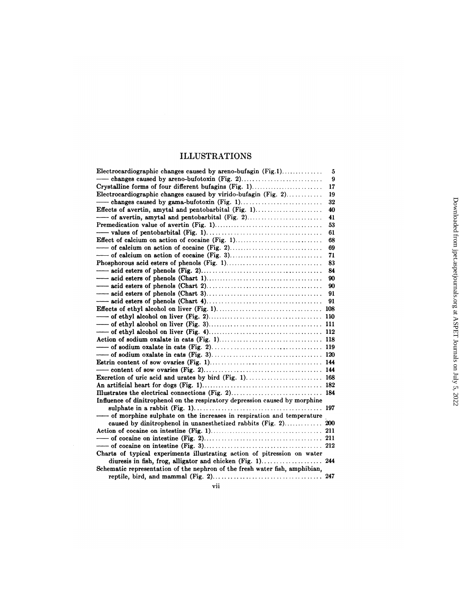## ILLUSTRATIONS

| <b>ILLUSTRATIONS</b>                                                        |    |                                                                     |
|-----------------------------------------------------------------------------|----|---------------------------------------------------------------------|
| Electrocardiographic changes caused by areno-bufagin $(Fig.1)$              | 5  |                                                                     |
|                                                                             | 9  |                                                                     |
| Crystalline forms of four different bufagins (Fig. 1)                       | 17 |                                                                     |
| Electrocardiographic changes caused by virido-bufagin (Fig. 2)              | 19 |                                                                     |
|                                                                             | 32 |                                                                     |
|                                                                             | 40 |                                                                     |
|                                                                             | 41 |                                                                     |
|                                                                             | 53 |                                                                     |
|                                                                             | 61 |                                                                     |
| Effect of calcium on action of cocaine (Fig. 1)                             | 68 |                                                                     |
|                                                                             | 69 |                                                                     |
|                                                                             | 71 |                                                                     |
|                                                                             | 83 | Downloaded from jpet.aspetjournals.org at ASPET Journals on July 5, |
|                                                                             | 84 |                                                                     |
|                                                                             | 90 |                                                                     |
|                                                                             | 90 |                                                                     |
|                                                                             | 91 |                                                                     |
|                                                                             |    |                                                                     |
|                                                                             |    |                                                                     |
|                                                                             |    |                                                                     |
|                                                                             |    |                                                                     |
|                                                                             |    |                                                                     |
|                                                                             |    |                                                                     |
|                                                                             |    |                                                                     |
|                                                                             |    |                                                                     |
|                                                                             |    |                                                                     |
|                                                                             |    |                                                                     |
|                                                                             |    |                                                                     |
|                                                                             |    |                                                                     |
|                                                                             |    |                                                                     |
| Influence of dinitrophenol on the respiratory depression caused by morphine |    | . 2022                                                              |
|                                                                             |    |                                                                     |
| ---- of morphine sulphate on the increases in respiration and temperature   |    |                                                                     |
|                                                                             |    |                                                                     |
|                                                                             |    |                                                                     |
|                                                                             |    |                                                                     |
|                                                                             |    |                                                                     |
| Charts of typical experiments illustrating action of pitression on water    |    |                                                                     |
|                                                                             |    |                                                                     |
| Schematic representation of the nephron of the fresh water fish, amphibian, |    |                                                                     |
|                                                                             |    |                                                                     |
| vii                                                                         |    |                                                                     |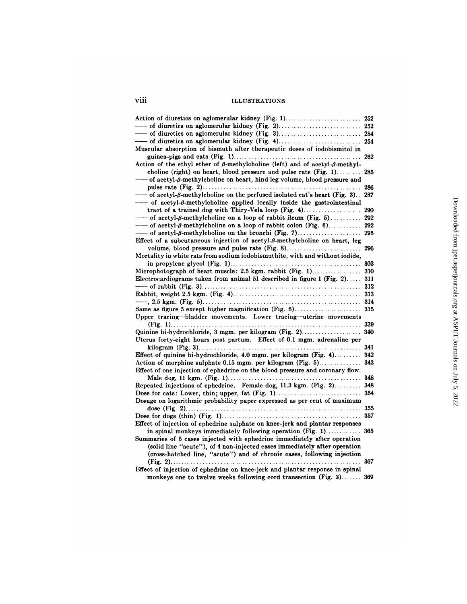| viii<br><b>ILLUSTRATIONS</b>                                                                  |     |
|-----------------------------------------------------------------------------------------------|-----|
| Action of diuretics on aglomerular kidney (Fig. 1) 252                                        |     |
|                                                                                               |     |
|                                                                                               |     |
|                                                                                               |     |
| Muscular absorption of bismuth after therapeutic doses of iodobismitol in                     |     |
|                                                                                               |     |
| Action of the ethyl ether of $\beta$ -methylcholine (left) and of acetyl- $\beta$ -methyl-    |     |
| choline (right) on heart, blood pressure and pulse rate $(Fig. 1)$                            | 285 |
| -of acetyl-β-methylcholine on heart, hind leg volume, blood pressure and                      |     |
|                                                                                               | 286 |
| -- of acetyl-β-methylcholine on the perfused isolated cat's heart (Fig. 3) 287                |     |
| -- of acetyl- $\beta$ -methylcholine applied locally inside the gastrointestinal              |     |
|                                                                                               | 290 |
| $\overline{\phantom{a}}$ of acetyl- $\beta$ -methylcholine on a loop of rabbit ileum (Fig. 5) | 292 |
| --- of acetyl-β-methylcholine on a loop of rabbit colon (Fig. 6)                              | 292 |
| $\overline{\phantom{a}}$ of acetyl- $\beta$ -methylcholine on the bronchi (Fig. 7)            | 295 |
| Effect of a subcutaneous injection of acetyl- $\beta$ -methylcholine on heart, leg            |     |
|                                                                                               |     |
| Mortality in white rats from sodium iodobismuthite, with and without iodide,                  |     |
|                                                                                               |     |
|                                                                                               |     |
| Electrocardiograms taken from animal 51 described in figure 1 (Fig. 2) 311                    |     |
|                                                                                               |     |
|                                                                                               |     |
|                                                                                               |     |
|                                                                                               |     |
| Upper tracing-bladder movements. Lower tracing-uterine movements                              |     |
|                                                                                               |     |
| Quinine bi-hydrochloride, 3 mgm. per kilogram (Fig. 2) 340                                    |     |
| Uterus forty-eight hours post partum. Effect of 0.1 mgm. adrenaline per                       |     |
|                                                                                               |     |
| Effect of quinine bi-hydrochloride, 4.0 mgm. per kilogram (Fig. 4) 342                        |     |
| Action of morphine sulphate 0.15 mgm. per kilogram (Fig. 5) 343                               |     |
| Effect of one injection of ephedrine on the blood pressure and coronary flow.                 |     |
|                                                                                               |     |
| Repeated injections of ephedrine. Female dog, 11.3 kgm. (Fig. 2) 348                          |     |
|                                                                                               | 354 |
| Dosage on logarithmic probability paper expressed as per cent of maximum                      |     |
|                                                                                               |     |
|                                                                                               |     |
| Effect of injection of ephedrine sulphate on knee-jerk and plantar responses                  |     |
| in spinal monkeys immediately following operation (Fig. 1) 365                                |     |
| Summaries of 5 cases injected with ephedrine immediately after operation                      |     |
| (solid line "acute"), of 4 non-injected cases immediately after operation                     |     |
| (cross-hatched line, "acute") and of chronic cases, following injection                       |     |
|                                                                                               | 367 |
| Effect of injection of ephedrine on knee-jerk and plantar response in spinal                  |     |
| monkeys one to twelve weeks following cord transection (Fig. 3) 369                           |     |
|                                                                                               |     |